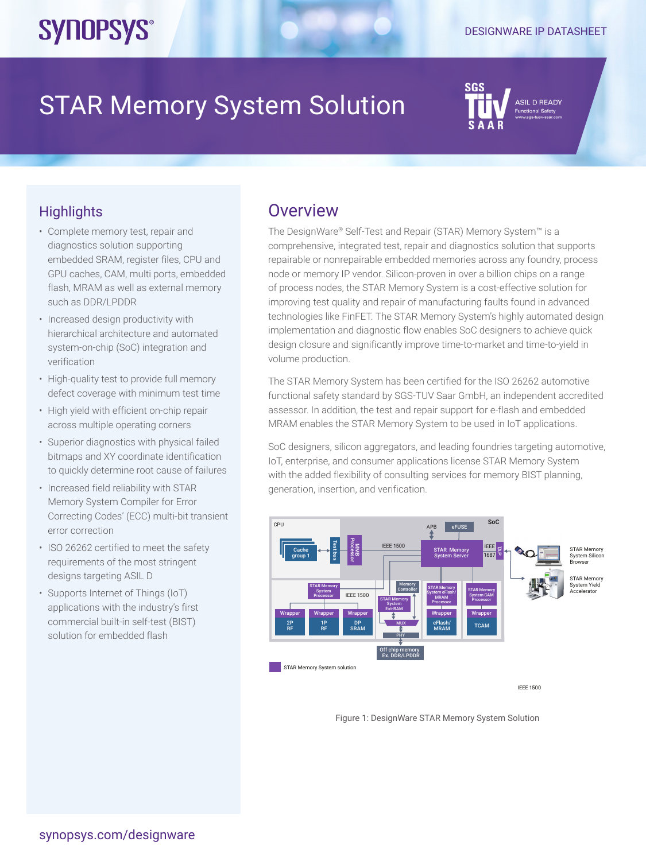# **SYNOPSYS®**

# STAR Memory System Solution

SIL D READY

## **Highlights**

- Complete memory test, repair and diagnostics solution supporting embedded SRAM, register files, CPU and GPU caches, CAM, multi ports, embedded flash, MRAM as well as external memory such as DDR/LPDDR
- Increased design productivity with hierarchical architecture and automated system-on-chip (SoC) integration and verification
- High-quality test to provide full memory defect coverage with minimum test time
- High yield with efficient on-chip repair across multiple operating corners
- Superior diagnostics with physical failed bitmaps and XY coordinate identification to quickly determine root cause of failures
- Increased field reliability with STAR Memory System Compiler for Error Correcting Codes' (ECC) multi-bit transient error correction
- ISO 26262 certified to meet the safety requirements of the most stringent designs targeting ASIL D
- Supports Internet of Things (IoT) applications with the industry's first commercial built-in self-test (BIST) solution for embedded flash

### **Overview**

The DesignWare® Self-Test and Repair (STAR) Memory System™ is a comprehensive, integrated test, repair and diagnostics solution that supports repairable or nonrepairable embedded memories across any foundry, process node or memory IP vendor. Silicon-proven in over a billion chips on a range of process nodes, the STAR Memory System is a cost-effective solution for improving test quality and repair of manufacturing faults found in advanced technologies like FinFET. The STAR Memory System's highly automated design implementation and diagnostic flow enables SoC designers to achieve quick design closure and significantly improve time-to-market and time-to-yield in volume production.

The STAR Memory System has been certified for the ISO 26262 automotive functional safety standard by SGS-TUV Saar GmbH, an independent accredited assessor. In addition, the test and repair support for e-flash and embedded MRAM enables the STAR Memory System to be used in IoT applications.

SoC designers, silicon aggregators, and leading foundries targeting automotive, IoT, enterprise, and consumer applications license STAR Memory System with the added flexibility of consulting services for memory BIST planning, generation, insertion, and verification.



IEEE 1500

Figure 1: DesignWare STAR Memory System Solution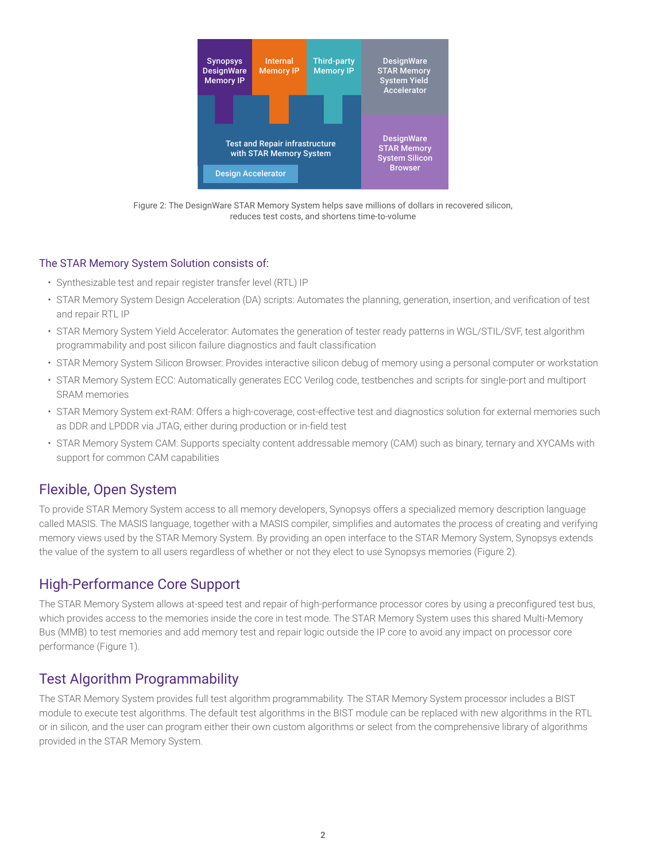

Figure 2: The DesignWare STAR Memory System helps save millions of dollars in recovered silicon, reduces test costs, and shortens time-to-volume

#### The STAR Memory System Solution consists of:

- Synthesizable test and repair register transfer level (RTL) IP
- STAR Memory System Design Acceleration (DA) scripts: Automates the planning, generation, insertion, and verification of test and repair RTL IP
- STAR Memory System Yield Accelerator: Automates the generation of tester ready patterns in WGL/STIL/SVF, test algorithm programmability and post silicon failure diagnostics and fault classification
- STAR Memory System Silicon Browser: Provides interactive silicon debug of memory using a personal computer or workstation
- STAR Memory System ECC: Automatically generates ECC Verilog code, testbenches and scripts for single-port and multiport SRAM memories
- STAR Memory System ext-RAM: Offers a high-coverage, cost-effective test and diagnostics solution for external memories such as DDR and LPDDR via JTAG, either during production or in-field test
- STAR Memory System CAM: Supports specialty content addressable memory (CAM) such as binary, ternary and XYCAMs with support for common CAM capabilities

#### Flexible, Open System

To provide STAR Memory System access to all memory developers, Synopsys offers a specialized memory description language called MASIS. The MASIS language, together with a MASIS compiler, simplifies and automates the process of creating and verifying memory views used by the STAR Memory System. By providing an open interface to the STAR Memory System, Synopsys extends the value of the system to all users regardless of whether or not they elect to use Synopsys memories (Figure 2).

#### High-Performance Core Support

The STAR Memory System allows at-speed test and repair of high-performance processor cores by using a preconfigured test bus, which provides access to the memories inside the core in test mode. The STAR Memory System uses this shared Multi-Memory Bus (MMB) to test memories and add memory test and repair logic outside the IP core to avoid any impact on processor core performance (Figure 1).

#### Test Algorithm Programmability

The STAR Memory System provides full test algorithm programmability. The STAR Memory System processor includes a BIST module to execute test algorithms. The default test algorithms in the BIST module can be replaced with new algorithms in the RTL or in silicon, and the user can program either their own custom algorithms or select from the comprehensive library of algorithms provided in the STAR Memory System.